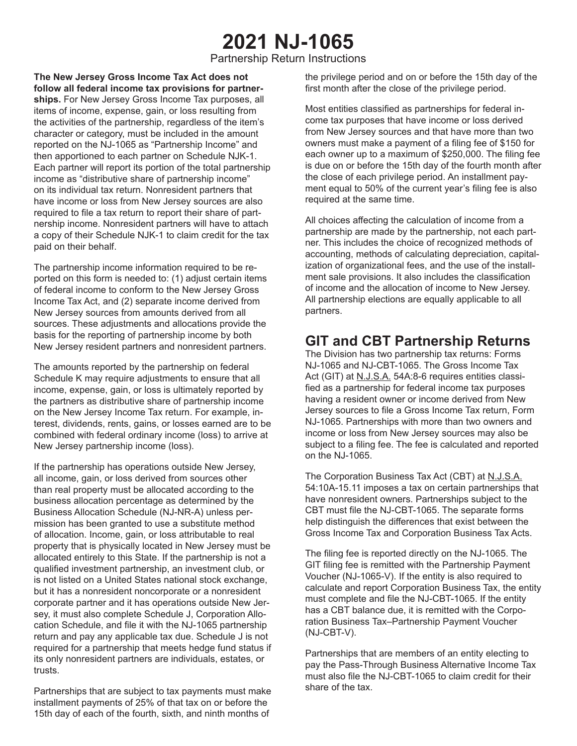# **2021 NJ-1065**

Partnership Return Instructions

**The New Jersey Gross Income Tax Act does not follow all federal income tax provisions for partnerships.** For New Jersey Gross Income Tax purposes, all items of income, expense, gain, or loss resulting from the activities of the partnership, regardless of the item's character or category, must be included in the amount reported on the NJ-1065 as "Partnership Income" and then apportioned to each partner on Schedule NJK-1. Each partner will report its portion of the total partnership income as "distributive share of partnership income" on its individual tax return. Nonresident partners that have income or loss from New Jersey sources are also required to file a tax return to report their share of partnership income. Nonresident partners will have to attach a copy of their Schedule NJK-1 to claim credit for the tax paid on their behalf.

The partnership income information required to be reported on this form is needed to: (1) adjust certain items of federal income to conform to the New Jersey Gross Income Tax Act, and (2) separate income derived from New Jersey sources from amounts derived from all sources. These adjustments and allocations provide the basis for the reporting of partnership income by both New Jersey resident partners and nonresident partners.

The amounts reported by the partnership on federal Schedule K may require adjustments to ensure that all income, expense, gain, or loss is ultimately reported by the partners as distributive share of partnership income on the New Jersey Income Tax return. For example, interest, dividends, rents, gains, or losses earned are to be combined with federal ordinary income (loss) to arrive at New Jersey partnership income (loss).

If the partnership has operations outside New Jersey, all income, gain, or loss derived from sources other than real property must be allocated according to the business allocation percentage as determined by the Business Allocation Schedule (NJ-NR-A) unless permission has been granted to use a substitute method of allocation. Income, gain, or loss attributable to real property that is physically located in New Jersey must be allocated entirely to this State. If the partnership is not a qualified investment partnership, an investment club, or is not listed on a United States national stock exchange, but it has a nonresident noncorporate or a nonresident corporate partner and it has operations outside New Jersey, it must also complete Schedule J, Corporation Allocation Schedule, and file it with the NJ-1065 partnership return and pay any applicable tax due. Schedule J is not required for a partnership that meets hedge fund status if its only nonresident partners are individuals, estates, or trusts.

Partnerships that are subject to tax payments must make installment payments of 25% of that tax on or before the 15th day of each of the fourth, sixth, and ninth months of

the privilege period and on or before the 15th day of the first month after the close of the privilege period.

Most entities classified as partnerships for federal income tax purposes that have income or loss derived from New Jersey sources and that have more than two owners must make a payment of a filing fee of \$150 for each owner up to a maximum of \$250,000. The filing fee is due on or before the 15th day of the fourth month after the close of each privilege period. An installment payment equal to 50% of the current year's filing fee is also required at the same time.

All choices affecting the calculation of income from a partnership are made by the partnership, not each partner. This includes the choice of recognized methods of accounting, methods of calculating depreciation, capitalization of organizational fees, and the use of the installment sale provisions. It also includes the classification of income and the allocation of income to New Jersey. All partnership elections are equally applicable to all partners.

# **GIT and CBT Partnership Returns**

The Division has two partnership tax returns: Forms NJ-1065 and NJ-CBT-1065. The Gross Income Tax Act (GIT) at N.J.S.A. 54A:8-6 requires entities classified as a partnership for federal income tax purposes having a resident owner or income derived from New Jersey sources to file a Gross Income Tax return, Form NJ-1065. Partnerships with more than two owners and income or loss from New Jersey sources may also be subject to a filing fee. The fee is calculated and reported on the NJ-1065.

The Corporation Business Tax Act (CBT) at N.J.S.A. 54:10A-15.11 imposes a tax on certain partnerships that have nonresident owners. Partnerships subject to the CBT must file the NJ-CBT-1065. The separate forms help distinguish the differences that exist between the Gross Income Tax and Corporation Business Tax Acts.

The filing fee is reported directly on the NJ-1065. The GIT filing fee is remitted with the Partnership Payment Voucher (NJ-1065-V). If the entity is also required to calculate and report Corporation Business Tax, the entity must complete and file the NJ-CBT-1065. If the entity has a CBT balance due, it is remitted with the Corporation Business Tax–Partnership Payment Voucher (NJ-CBT-V).

Partnerships that are members of an entity electing to pay the Pass-Through Business Alternative Income Tax must also file the NJ-CBT-1065 to claim credit for their share of the tax.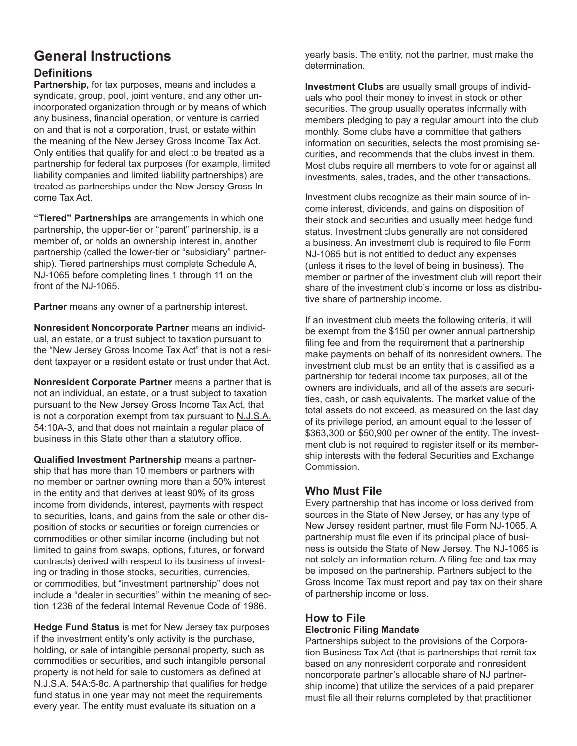# **General Instructions**

### **Definitions**

**Partnership,** for tax purposes, means and includes a syndicate, group, pool, joint venture, and any other unincorporated organization through or by means of which any business, financial operation, or venture is carried on and that is not a corporation, trust, or estate within the meaning of the New Jersey Gross Income Tax Act. Only entities that qualify for and elect to be treated as a partnership for federal tax purposes (for example, limited liability companies and limited liability partnerships) are treated as partnerships under the New Jersey Gross Income Tax Act.

**"Tiered" Partnerships** are arrangements in which one partnership, the upper-tier or "parent" partnership, is a member of, or holds an ownership interest in, another partnership (called the lower-tier or "subsidiary" partnership). Tiered partnerships must complete Schedule A, NJ-1065 before completing lines 1 through 11 on the front of the NJ-1065.

**Partner** means any owner of a partnership interest.

**Nonresident Noncorporate Partner** means an individual, an estate, or a trust subject to taxation pursuant to the "New Jersey Gross Income Tax Act" that is not a resident taxpayer or a resident estate or trust under that Act.

**Nonresident Corporate Partner** means a partner that is not an individual, an estate, or a trust subject to taxation pursuant to the New Jersey Gross Income Tax Act, that is not a corporation exempt from tax pursuant to N.J.S.A. 54:10A-3, and that does not maintain a regular place of business in this State other than a statutory office.

**Qualified Investment Partnership** means a partnership that has more than 10 members or partners with no member or partner owning more than a 50% interest in the entity and that derives at least 90% of its gross income from dividends, interest, payments with respect to securities, loans, and gains from the sale or other disposition of stocks or securities or foreign currencies or commodities or other similar income (including but not limited to gains from swaps, options, futures, or forward contracts) derived with respect to its business of investing or trading in those stocks, securities, currencies, or commodities, but "investment partnership" does not include a "dealer in securities" within the meaning of section 1236 of the federal Internal Revenue Code of 1986.

**Hedge Fund Status** is met for New Jersey tax purposes if the investment entity's only activity is the purchase, holding, or sale of intangible personal property, such as commodities or securities, and such intangible personal property is not held for sale to customers as defined at N.J.S.A. 54A:5-8c. A partnership that qualifies for hedge fund status in one year may not meet the requirements every year. The entity must evaluate its situation on a

yearly basis. The entity, not the partner, must make the determination.

**Investment Clubs** are usually small groups of individuals who pool their money to invest in stock or other securities. The group usually operates informally with members pledging to pay a regular amount into the club monthly. Some clubs have a committee that gathers information on securities, selects the most promising securities, and recommends that the clubs invest in them. Most clubs require all members to vote for or against all investments, sales, trades, and the other transactions.

Investment clubs recognize as their main source of income interest, dividends, and gains on disposition of their stock and securities and usually meet hedge fund status. Investment clubs generally are not considered a business. An investment club is required to file Form NJ-1065 but is not entitled to deduct any expenses (unless it rises to the level of being in business). The member or partner of the investment club will report their share of the investment club's income or loss as distributive share of partnership income.

If an investment club meets the following criteria, it will be exempt from the \$150 per owner annual partnership filing fee and from the requirement that a partnership make payments on behalf of its nonresident owners. The investment club must be an entity that is classified as a partnership for federal income tax purposes, all of the owners are individuals, and all of the assets are securities, cash, or cash equivalents. The market value of the total assets do not exceed, as measured on the last day of its privilege period, an amount equal to the lesser of \$363,300 or \$50,900 per owner of the entity. The investment club is not required to register itself or its membership interests with the federal Securities and Exchange Commission.

### **Who Must File**

Every partnership that has income or loss derived from sources in the State of New Jersey, or has any type of New Jersey resident partner, must file Form NJ-1065. A partnership must file even if its principal place of business is outside the State of New Jersey. The NJ-1065 is not solely an information return. A filing fee and tax may be imposed on the partnership. Partners subject to the Gross Income Tax must report and pay tax on their share of partnership income or loss.

### **How to File**

### **Electronic Filing Mandate**

Partnerships subject to the provisions of the Corporation Business Tax Act (that is partnerships that remit tax based on any nonresident corporate and nonresident noncorporate partner's allocable share of NJ partnership income) that utilize the services of a paid preparer must file all their returns completed by that practitioner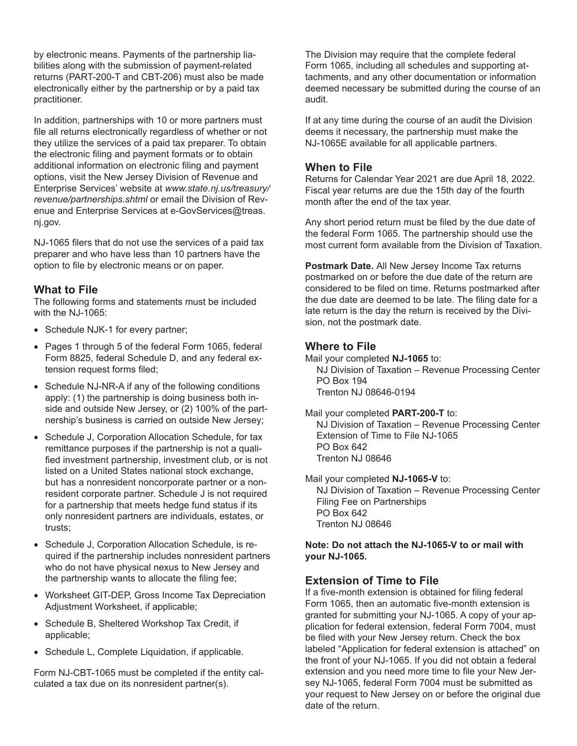by electronic means. Payments of the partnership liabilities along with the submission of payment-related returns (PART-200-T and CBT-206) must also be made electronically either by the partnership or by a paid tax practitioner.

In addition, partnerships with 10 or more partners must file all returns electronically regardless of whether or not they utilize the services of a paid tax preparer. To obtain the electronic filing and payment formats or to obtain additional information on electronic filing and payment options, visit the New Jersey Division of Revenue and Enterprise Services' website at *www.state.nj.us/treasury/ revenue/partnerships.shtml* or email the Division of Revenue and Enterprise Services at e-GovServices@treas. nj.gov.

NJ-1065 filers that do not use the services of a paid tax preparer and who have less than 10 partners have the option to file by electronic means or on paper.

### **What to File**

The following forms and statements must be included with the NJ-1065:

- Schedule NJK-1 for every partner;
- Pages 1 through 5 of the federal Form 1065, federal Form 8825, federal Schedule D, and any federal extension request forms filed;
- Schedule NJ-NR-A if any of the following conditions apply: (1) the partnership is doing business both inside and outside New Jersey, or (2) 100% of the partnership's business is carried on outside New Jersey;
- Schedule J, Corporation Allocation Schedule, for tax remittance purposes if the partnership is not a qualified investment partnership, investment club, or is not listed on a United States national stock exchange, but has a nonresident noncorporate partner or a nonresident corporate partner. Schedule J is not required for a partnership that meets hedge fund status if its only nonresident partners are individuals, estates, or trusts;
- Schedule J, Corporation Allocation Schedule, is required if the partnership includes nonresident partners who do not have physical nexus to New Jersey and the partnership wants to allocate the filing fee;
- Worksheet GIT-DEP, Gross Income Tax Depreciation Adjustment Worksheet, if applicable;
- Schedule B, Sheltered Workshop Tax Credit, if applicable;
- Schedule L, Complete Liquidation, if applicable.

Form NJ-CBT-1065 must be completed if the entity calculated a tax due on its nonresident partner(s).

The Division may require that the complete federal Form 1065, including all schedules and supporting attachments, and any other documentation or information deemed necessary be submitted during the course of an audit.

If at any time during the course of an audit the Division deems it necessary, the partnership must make the NJ-1065E available for all applicable partners.

#### **When to File**

Returns for Calendar Year 2021 are due April 18, 2022. Fiscal year returns are due the 15th day of the fourth month after the end of the tax year.

Any short period return must be filed by the due date of the federal Form 1065. The partnership should use the most current form available from the Division of Taxation.

**Postmark Date.** All New Jersey Income Tax returns postmarked on or before the due date of the return are considered to be filed on time. Returns postmarked after the due date are deemed to be late. The filing date for a late return is the day the return is received by the Division, not the postmark date.

#### **Where to File**

Mail your completed **NJ-1065** to:

NJ Division of Taxation – Revenue Processing Center PO Box 194 Trenton NJ 08646-0194

#### Mail your completed **PART-200-T** to:

NJ Division of Taxation – Revenue Processing Center Extension of Time to File NJ-1065 PO Box 642 Trenton NJ 08646

Mail your completed **NJ-1065-V** to: NJ Division of Taxation – Revenue Processing Center Filing Fee on Partnerships PO Box 642 Trenton NJ 08646

**Note: Do not attach the NJ-1065-V to or mail with your NJ-1065.**

#### **Extension of Time to File**

If a five-month extension is obtained for filing federal Form 1065, then an automatic five-month extension is granted for submitting your NJ-1065. A copy of your application for federal extension, federal Form 7004, must be filed with your New Jersey return. Check the box labeled "Application for federal extension is attached" on the front of your NJ-1065. If you did not obtain a federal extension and you need more time to file your New Jersey NJ-1065, federal Form 7004 must be submitted as your request to New Jersey on or before the original due date of the return.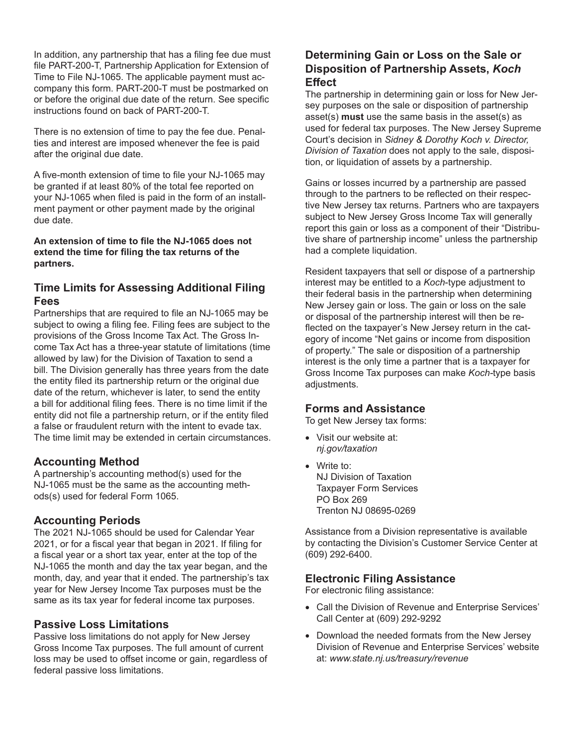In addition, any partnership that has a filing fee due must file PART-200-T, Partnership Application for Extension of Time to File NJ-1065. The applicable payment must accompany this form. PART-200-T must be postmarked on or before the original due date of the return. See specific instructions found on back of PART-200-T.

There is no extension of time to pay the fee due. Penalties and interest are imposed whenever the fee is paid after the original due date.

A five-month extension of time to file your NJ-1065 may be granted if at least 80% of the total fee reported on your NJ-1065 when filed is paid in the form of an installment payment or other payment made by the original due date.

**An extension of time to file the NJ-1065 does not extend the time for filing the tax returns of the partners.**

### **Time Limits for Assessing Additional Filing Fees**

Partnerships that are required to file an NJ-1065 may be subject to owing a filing fee. Filing fees are subject to the provisions of the Gross Income Tax Act. The Gross Income Tax Act has a three-year statute of limitations (time allowed by law) for the Division of Taxation to send a bill. The Division generally has three years from the date the entity filed its partnership return or the original due date of the return, whichever is later, to send the entity a bill for additional filing fees. There is no time limit if the entity did not file a partnership return, or if the entity filed a false or fraudulent return with the intent to evade tax. The time limit may be extended in certain circumstances.

### **Accounting Method**

A partnership's accounting method(s) used for the NJ-1065 must be the same as the accounting methods(s) used for federal Form 1065.

### **Accounting Periods**

The 2021 NJ-1065 should be used for Calendar Year 2021, or for a fiscal year that began in 2021. If filing for a fiscal year or a short tax year, enter at the top of the NJ-1065 the month and day the tax year began, and the month, day, and year that it ended. The partnership's tax year for New Jersey Income Tax purposes must be the same as its tax year for federal income tax purposes.

### **Passive Loss Limitations**

Passive loss limitations do not apply for New Jersey Gross Income Tax purposes. The full amount of current loss may be used to offset income or gain, regardless of federal passive loss limitations.

### **Determining Gain or Loss on the Sale or Disposition of Partnership Assets,** *Koch*  **Effect**

The partnership in determining gain or loss for New Jersey purposes on the sale or disposition of partnership asset(s) **must** use the same basis in the asset(s) as used for federal tax purposes. The New Jersey Supreme Court's decision in *Sidney & Dorothy Koch v. Director, Division of Taxation* does not apply to the sale, disposition, or liquidation of assets by a partnership.

Gains or losses incurred by a partnership are passed through to the partners to be reflected on their respective New Jersey tax returns. Partners who are taxpayers subject to New Jersey Gross Income Tax will generally report this gain or loss as a component of their "Distributive share of partnership income" unless the partnership had a complete liquidation.

Resident taxpayers that sell or dispose of a partnership interest may be entitled to a *Koch*-type adjustment to their federal basis in the partnership when determining New Jersey gain or loss. The gain or loss on the sale or disposal of the partnership interest will then be reflected on the taxpayer's New Jersey return in the category of income "Net gains or income from disposition of property." The sale or disposition of a partnership interest is the only time a partner that is a taxpayer for Gross Income Tax purposes can make *Koch-*type basis adjustments.

### **Forms and Assistance**

To get New Jersey tax forms:

- Visit our website at: *nj.gov/taxation*
- Write to: NJ Division of Taxation Taxpayer Form Services PO Box 269 Trenton NJ 08695-0269

Assistance from a Division representative is available by contacting the Division's Customer Service Center at (609) 292-6400.

### **Electronic Filing Assistance**

For electronic filing assistance:

- Call the Division of Revenue and Enterprise Services' Call Center at (609) 292-9292
- Download the needed formats from the New Jersey Division of Revenue and Enterprise Services' website at: *www.state.nj.us/treasury/revenue*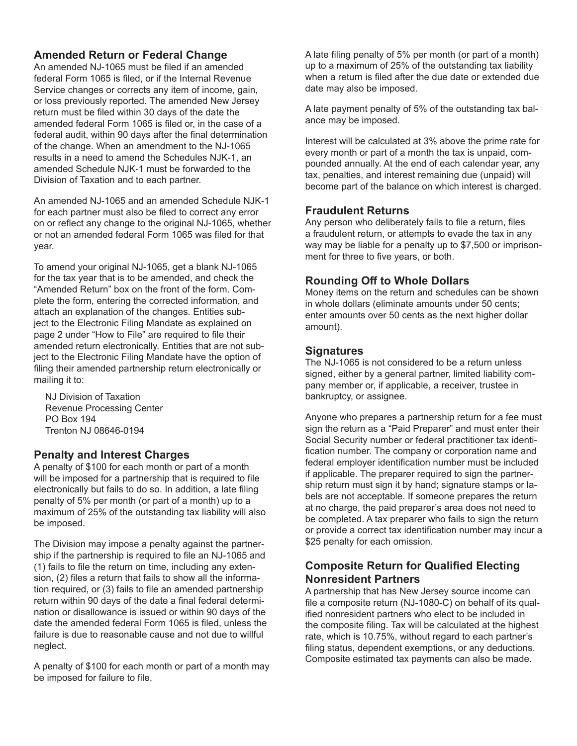### **Amended Return or Federal Change**

An amended NJ-1065 must be filed if an amended federal Form 1065 is filed, or if the Internal Revenue Service changes or corrects any item of income, gain, or loss previously reported. The amended New Jersey return must be filed within 30 days of the date the amended federal Form 1065 is filed or, in the case of a federal audit, within 90 days after the final determination of the change. When an amendment to the NJ-1065 results in a need to amend the Schedules NJK-1, an amended Schedule NJK-1 must be forwarded to the Division of Taxation and to each partner.

An amended NJ-1065 and an amended Schedule NJK-1 for each partner must also be filed to correct any error on or reflect any change to the original NJ-1065, whether or not an amended federal Form 1065 was filed for that year.

To amend your original NJ-1065, get a blank NJ-1065 for the tax year that is to be amended, and check the "Amended Return" box on the front of the form. Complete the form, entering the corrected information, and attach an explanation of the changes. Entities subject to the Electronic Filing Mandate as explained on page 2 under "How to File" are required to file their amended return electronically. Entities that are not subject to the Electronic Filing Mandate have the option of filing their amended partnership return electronically or mailing it to:

NJ Division of Taxation Revenue Processing Center PO Box 194 Trenton NJ 08646-0194

### **Penalty and Interest Charges**

A penalty of \$100 for each month or part of a month will be imposed for a partnership that is required to file electronically but fails to do so. In addition, a late filing penalty of 5% per month (or part of a month) up to a maximum of 25% of the outstanding tax liability will also be imposed.

The Division may impose a penalty against the partnership if the partnership is required to file an NJ-1065 and (1) fails to file the return on time, including any extension, (2) files a return that fails to show all the information required, or (3) fails to file an amended partnership return within 90 days of the date a final federal determination or disallowance is issued or within 90 days of the date the amended federal Form 1065 is filed, unless the failure is due to reasonable cause and not due to willful neglect.

A penalty of \$100 for each month or part of a month may be imposed for failure to file.

A late filing penalty of 5% per month (or part of a month) up to a maximum of 25% of the outstanding tax liability when a return is filed after the due date or extended due date may also be imposed.

A late payment penalty of 5% of the outstanding tax balance may be imposed.

Interest will be calculated at 3% above the prime rate for every month or part of a month the tax is unpaid, compounded annually. At the end of each calendar year, any tax, penalties, and interest remaining due (unpaid) will become part of the balance on which interest is charged.

### **Fraudulent Returns**

Any person who deliberately fails to file a return, files a fraudulent return, or attempts to evade the tax in any way may be liable for a penalty up to \$7,500 or imprisonment for three to five years, or both.

### **Rounding Off to Whole Dollars**

Money items on the return and schedules can be shown in whole dollars (eliminate amounts under 50 cents; enter amounts over 50 cents as the next higher dollar amount).

### **Signatures**

The NJ-1065 is not considered to be a return unless signed, either by a general partner, limited liability company member or, if applicable, a receiver, trustee in bankruptcy, or assignee.

Anyone who prepares a partnership return for a fee must sign the return as a "Paid Preparer" and must enter their Social Security number or federal practitioner tax identification number. The company or corporation name and federal employer identification number must be included if applicable. The preparer required to sign the partnership return must sign it by hand; signature stamps or labels are not acceptable. If someone prepares the return at no charge, the paid preparer's area does not need to be completed. A tax preparer who fails to sign the return or provide a correct tax identification number may incur a \$25 penalty for each omission.

### **Composite Return for Qualified Electing Nonresident Partners**

A partnership that has New Jersey source income can file a composite return (NJ-1080-C) on behalf of its qualified nonresident partners who elect to be included in the composite filing. Tax will be calculated at the highest rate, which is 10.75%, without regard to each partner's filing status, dependent exemptions, or any deductions. Composite estimated tax payments can also be made.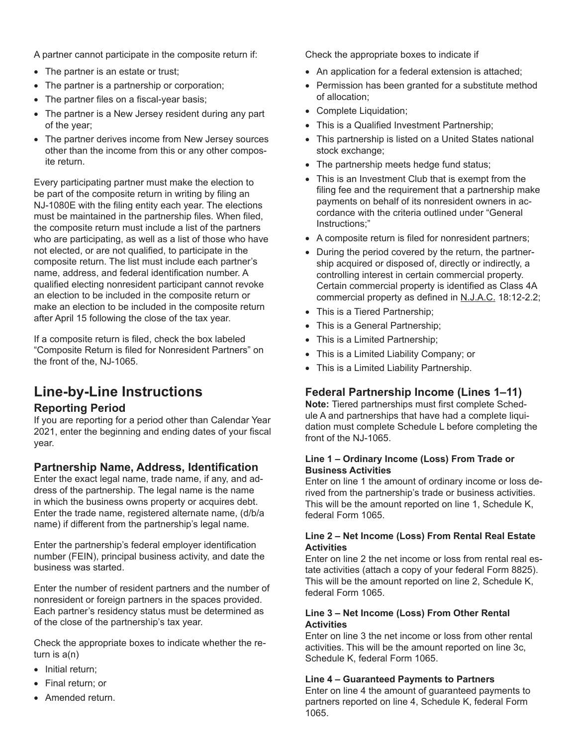A partner cannot participate in the composite return if:

- The partner is an estate or trust;
- The partner is a partnership or corporation;
- The partner files on a fiscal-year basis;
- The partner is a New Jersey resident during any part of the year;
- The partner derives income from New Jersey sources other than the income from this or any other composite return.

Every participating partner must make the election to be part of the composite return in writing by filing an NJ-1080E with the filing entity each year. The elections must be maintained in the partnership files. When filed, the composite return must include a list of the partners who are participating, as well as a list of those who have not elected, or are not qualified, to participate in the composite return. The list must include each partner's name, address, and federal identification number. A qualified electing nonresident participant cannot revoke an election to be included in the composite return or make an election to be included in the composite return after April 15 following the close of the tax year.

If a composite return is filed, check the box labeled "Composite Return is filed for Nonresident Partners" on the front of the, NJ-1065.

# **Line-by-Line Instructions**

### **Reporting Period**

If you are reporting for a period other than Calendar Year 2021, enter the beginning and ending dates of your fiscal year.

### **Partnership Name, Address, Identification**

Enter the exact legal name, trade name, if any, and address of the partnership. The legal name is the name in which the business owns property or acquires debt. Enter the trade name, registered alternate name, (d/b/a name) if different from the partnership's legal name.

Enter the partnership's federal employer identification number (FEIN), principal business activity, and date the business was started.

Enter the number of resident partners and the number of nonresident or foreign partners in the spaces provided. Each partner's residency status must be determined as of the close of the partnership's tax year.

Check the appropriate boxes to indicate whether the return is a(n)

- Initial return;
- Final return; or
- Amended return.

Check the appropriate boxes to indicate if

- An application for a federal extension is attached;
- Permission has been granted for a substitute method of allocation;
- Complete Liquidation;
- This is a Qualified Investment Partnership;
- This partnership is listed on a United States national stock exchange;
- The partnership meets hedge fund status;
- This is an Investment Club that is exempt from the filing fee and the requirement that a partnership make payments on behalf of its nonresident owners in accordance with the criteria outlined under "General Instructions;"
- A composite return is filed for nonresident partners;
- During the period covered by the return, the partnership acquired or disposed of, directly or indirectly, a controlling interest in certain commercial property. Certain commercial property is identified as Class 4A commercial property as defined in N.J.A.C. 18:12-2.2;
- This is a Tiered Partnership;
- This is a General Partnership;
- This is a Limited Partnership;
- This is a Limited Liability Company; or
- This is a Limited Liability Partnership.

### **Federal Partnership Income (Lines 1–11)**

**Note:** Tiered partnerships must first complete Schedule A and partnerships that have had a complete liquidation must complete Schedule L before completing the front of the NJ-1065.

#### **Line 1 – Ordinary Income (Loss) From Trade or Business Activities**

Enter on line 1 the amount of ordinary income or loss derived from the partnership's trade or business activities. This will be the amount reported on line 1, Schedule K, federal Form 1065.

#### **Line 2 – Net Income (Loss) From Rental Real Estate Activities**

Enter on line 2 the net income or loss from rental real estate activities (attach a copy of your federal Form 8825). This will be the amount reported on line 2, Schedule K, federal Form 1065.

#### **Line 3 – Net Income (Loss) From Other Rental Activities**

Enter on line 3 the net income or loss from other rental activities. This will be the amount reported on line 3c, Schedule K, federal Form 1065.

#### **Line 4 – Guaranteed Payments to Partners**

Enter on line 4 the amount of guaranteed payments to partners reported on line 4, Schedule K, federal Form 1065.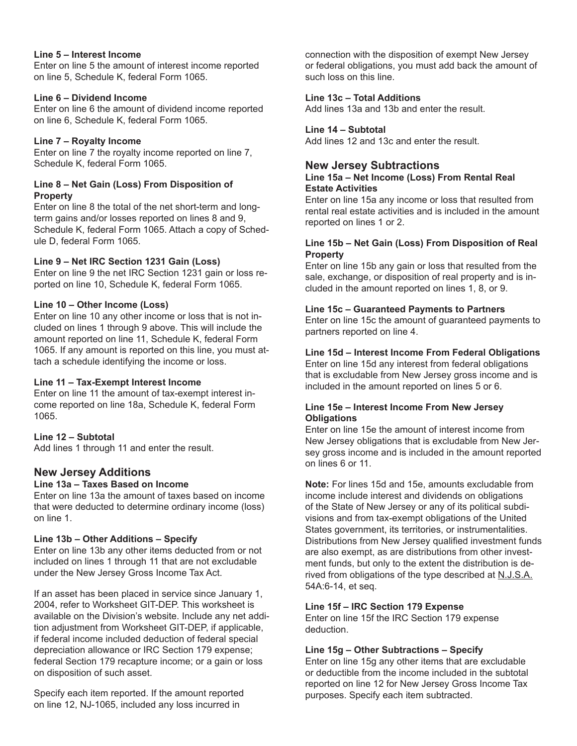#### **Line 5 – Interest Income**

Enter on line 5 the amount of interest income reported on line 5, Schedule K, federal Form 1065.

### **Line 6 – Dividend Income**

Enter on line 6 the amount of dividend income reported on line 6, Schedule K, federal Form 1065.

### **Line 7 – Royalty Income**

Enter on line 7 the royalty income reported on line 7, Schedule K, federal Form 1065.

### **Line 8 – Net Gain (Loss) From Disposition of Property**

Enter on line 8 the total of the net short-term and longterm gains and/or losses reported on lines 8 and 9, Schedule K, federal Form 1065. Attach a copy of Schedule D, federal Form 1065.

### **Line 9 – Net IRC Section 1231 Gain (Loss)**

Enter on line 9 the net IRC Section 1231 gain or loss reported on line 10, Schedule K, federal Form 1065.

### **Line 10 – Other Income (Loss)**

Enter on line 10 any other income or loss that is not included on lines 1 through 9 above. This will include the amount reported on line 11, Schedule K, federal Form 1065. If any amount is reported on this line, you must attach a schedule identifying the income or loss.

### **Line 11 – Tax-Exempt Interest Income**

Enter on line 11 the amount of tax-exempt interest income reported on line 18a, Schedule K, federal Form 1065.

### **Line 12 – Subtotal**

Add lines 1 through 11 and enter the result.

### **New Jersey Additions**

### **Line 13a – Taxes Based on Income**

Enter on line 13a the amount of taxes based on income that were deducted to determine ordinary income (loss) on line 1.

### **Line 13b – Other Additions – Specify**

Enter on line 13b any other items deducted from or not included on lines 1 through 11 that are not excludable under the New Jersey Gross Income Tax Act.

If an asset has been placed in service since January 1, 2004, refer to Worksheet GIT-DEP. This worksheet is available on the Division's website. Include any net addition adjustment from Worksheet GIT-DEP, if applicable, if federal income included deduction of federal special depreciation allowance or IRC Section 179 expense; federal Section 179 recapture income; or a gain or loss on disposition of such asset.

Specify each item reported. If the amount reported on line 12, NJ-1065, included any loss incurred in

connection with the disposition of exempt New Jersey or federal obligations, you must add back the amount of such loss on this line.

### **Line 13c – Total Additions**

Add lines 13a and 13b and enter the result.

### **Line 14 – Subtotal**

Add lines 12 and 13c and enter the result.

### **New Jersey Subtractions**

#### **Line 15a – Net Income (Loss) From Rental Real Estate Activities**

Enter on line 15a any income or loss that resulted from rental real estate activities and is included in the amount reported on lines 1 or 2.

#### **Line 15b – Net Gain (Loss) From Disposition of Real Property**

Enter on line 15b any gain or loss that resulted from the sale, exchange, or disposition of real property and is included in the amount reported on lines 1, 8, or 9.

### **Line 15c – Guaranteed Payments to Partners**

Enter on line 15c the amount of guaranteed payments to partners reported on line 4.

### **Line 15d – Interest Income From Federal Obligations**

Enter on line 15d any interest from federal obligations that is excludable from New Jersey gross income and is included in the amount reported on lines 5 or 6.

#### **Line 15e – Interest Income From New Jersey Obligations**

Enter on line 15e the amount of interest income from New Jersey obligations that is excludable from New Jersey gross income and is included in the amount reported on lines 6 or 11.

**Note:** For lines 15d and 15e, amounts excludable from income include interest and dividends on obligations of the State of New Jersey or any of its political subdivisions and from tax-exempt obligations of the United States government, its territories, or instrumentalities. Distributions from New Jersey qualified investment funds are also exempt, as are distributions from other investment funds, but only to the extent the distribution is derived from obligations of the type described at N.J.S.A. 54A:6-14, et seq.

### **Line 15f – IRC Section 179 Expense**

Enter on line 15f the IRC Section 179 expense deduction.

### **Line 15g – Other Subtractions – Specify**

Enter on line 15g any other items that are excludable or deductible from the income included in the subtotal reported on line 12 for New Jersey Gross Income Tax purposes. Specify each item subtracted.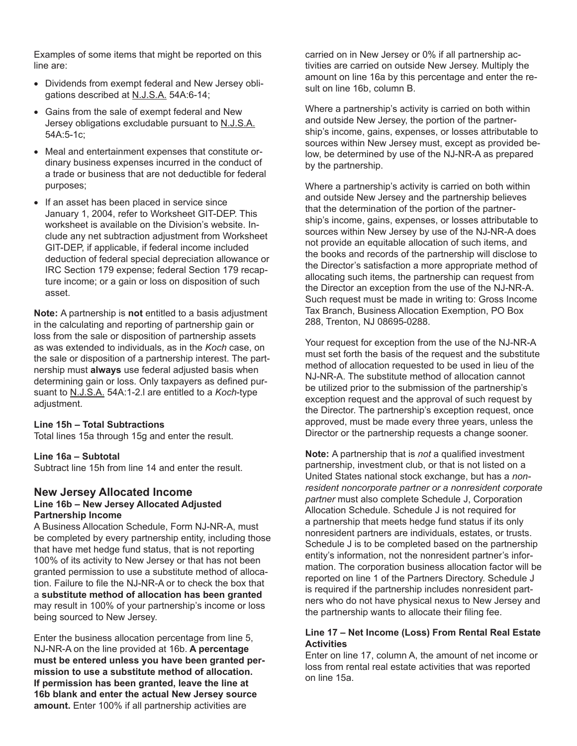Examples of some items that might be reported on this line are:

- Dividends from exempt federal and New Jersey obligations described at N.J.S.A. 54A:6-14;
- Gains from the sale of exempt federal and New Jersey obligations excludable pursuant to N.J.S.A. 54A:5-1c;
- Meal and entertainment expenses that constitute ordinary business expenses incurred in the conduct of a trade or business that are not deductible for federal purposes;
- If an asset has been placed in service since January 1, 2004, refer to Worksheet GIT-DEP. This worksheet is available on the Division's website. Include any net subtraction adjustment from Worksheet GIT-DEP, if applicable, if federal income included deduction of federal special depreciation allowance or IRC Section 179 expense; federal Section 179 recapture income; or a gain or loss on disposition of such asset.

**Note:** A partnership is **not** entitled to a basis adjustment in the calculating and reporting of partnership gain or loss from the sale or disposition of partnership assets as was extended to individuals, as in the *Koch* case, on the sale or disposition of a partnership interest. The partnership must **always** use federal adjusted basis when determining gain or loss. Only taxpayers as defined pursuant to N.J.S.A. 54A:1-2.l are entitled to a *Koch*-type adjustment.

#### **Line 15h – Total Subtractions**

Total lines 15a through 15g and enter the result.

#### **Line 16a – Subtotal**

Subtract line 15h from line 14 and enter the result.

#### **New Jersey Allocated Income Line 16b – New Jersey Allocated Adjusted Partnership Income**

A Business Allocation Schedule, Form NJ-NR-A, must be completed by every partnership entity, including those that have met hedge fund status, that is not reporting 100% of its activity to New Jersey or that has not been granted permission to use a substitute method of allocation. Failure to file the NJ-NR-A or to check the box that a **substitute method of allocation has been granted** may result in 100% of your partnership's income or loss being sourced to New Jersey.

Enter the business allocation percentage from line 5, NJ-NR-A on the line provided at 16b. **A percentage must be entered unless you have been granted permission to use a substitute method of allocation. If permission has been granted, leave the line at 16b blank and enter the actual New Jersey source amount.** Enter 100% if all partnership activities are

carried on in New Jersey or 0% if all partnership activities are carried on outside New Jersey. Multiply the amount on line 16a by this percentage and enter the result on line 16b, column B.

Where a partnership's activity is carried on both within and outside New Jersey, the portion of the partnership's income, gains, expenses, or losses attributable to sources within New Jersey must, except as provided below, be determined by use of the NJ-NR-A as prepared by the partnership.

Where a partnership's activity is carried on both within and outside New Jersey and the partnership believes that the determination of the portion of the partnership's income, gains, expenses, or losses attributable to sources within New Jersey by use of the NJ-NR-A does not provide an equitable allocation of such items, and the books and records of the partnership will disclose to the Director's satisfaction a more appropriate method of allocating such items, the partnership can request from the Director an exception from the use of the NJ-NR-A. Such request must be made in writing to: Gross Income Tax Branch, Business Allocation Exemption, PO Box 288, Trenton, NJ 08695-0288.

Your request for exception from the use of the NJ-NR-A must set forth the basis of the request and the substitute method of allocation requested to be used in lieu of the NJ-NR-A. The substitute method of allocation cannot be utilized prior to the submission of the partnership's exception request and the approval of such request by the Director. The partnership's exception request, once approved, must be made every three years, unless the Director or the partnership requests a change sooner.

**Note:** A partnership that is *not* a qualified investment partnership, investment club, or that is not listed on a United States national stock exchange, but has a *nonresident noncorporate partner or a nonresident corporate partner* must also complete Schedule J, Corporation Allocation Schedule. Schedule J is not required for a partnership that meets hedge fund status if its only nonresident partners are individuals, estates, or trusts. Schedule J is to be completed based on the partnership entity's information, not the nonresident partner's information. The corporation business allocation factor will be reported on line 1 of the Partners Directory. Schedule J is required if the partnership includes nonresident partners who do not have physical nexus to New Jersey and the partnership wants to allocate their filing fee.

#### **Line 17 – Net Income (Loss) From Rental Real Estate Activities**

Enter on line 17, column A, the amount of net income or loss from rental real estate activities that was reported on line 15a.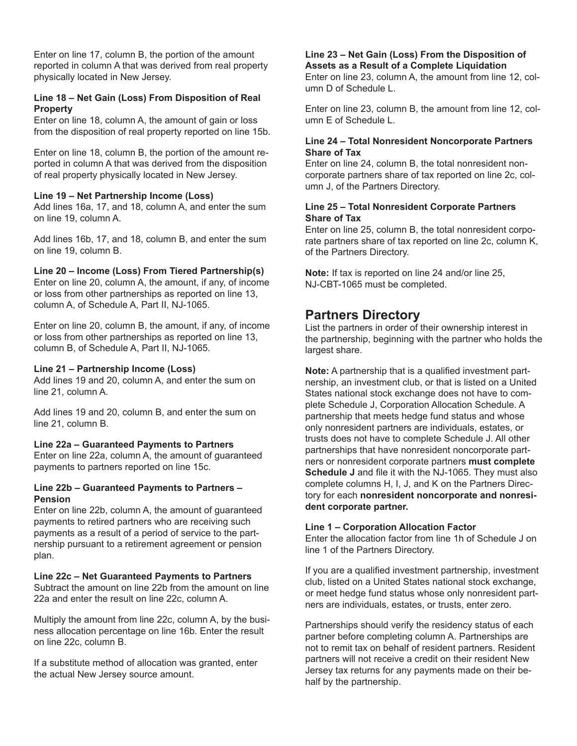Enter on line 17, column B, the portion of the amount reported in column A that was derived from real property physically located in New Jersey.

#### **Line 18 – Net Gain (Loss) From Disposition of Real Property**

Enter on line 18, column A, the amount of gain or loss from the disposition of real property reported on line 15b.

Enter on line 18, column B, the portion of the amount reported in column A that was derived from the disposition of real property physically located in New Jersey.

#### **Line 19 – Net Partnership Income (Loss)**

Add lines 16a, 17, and 18, column A, and enter the sum on line 19, column A.

Add lines 16b, 17, and 18, column B, and enter the sum on line 19, column B.

#### **Line 20 – Income (Loss) From Tiered Partnership(s)**

Enter on line 20, column A, the amount, if any, of income or loss from other partnerships as reported on line 13, column A, of Schedule A, Part II, NJ-1065.

Enter on line 20, column B, the amount, if any, of income or loss from other partnerships as reported on line 13, column B, of Schedule A, Part II, NJ-1065.

#### **Line 21 – Partnership Income (Loss)**

Add lines 19 and 20, column A, and enter the sum on line 21, column A.

Add lines 19 and 20, column B, and enter the sum on line 21, column B.

#### **Line 22a – Guaranteed Payments to Partners**

Enter on line 22a, column A, the amount of guaranteed payments to partners reported on line 15c.

#### **Line 22b – Guaranteed Payments to Partners – Pension**

Enter on line 22b, column A, the amount of guaranteed payments to retired partners who are receiving such payments as a result of a period of service to the partnership pursuant to a retirement agreement or pension plan.

#### **Line 22c – Net Guaranteed Payments to Partners**

Subtract the amount on line 22b from the amount on line 22a and enter the result on line 22c, column A.

Multiply the amount from line 22c, column A, by the business allocation percentage on line 16b. Enter the result on line 22c, column B.

If a substitute method of allocation was granted, enter the actual New Jersey source amount.

#### **Line 23 – Net Gain (Loss) From the Disposition of Assets as a Result of a Complete Liquidation**

Enter on line 23, column A, the amount from line 12, column D of Schedule L.

Enter on line 23, column B, the amount from line 12, column E of Schedule L.

#### **Line 24 – Total Nonresident Noncorporate Partners Share of Tax**

Enter on line 24, column B, the total nonresident noncorporate partners share of tax reported on line 2c, column J, of the Partners Directory.

#### **Line 25 – Total Nonresident Corporate Partners Share of Tax**

Enter on line 25, column B, the total nonresident corporate partners share of tax reported on line 2c, column K, of the Partners Directory.

**Note:** If tax is reported on line 24 and/or line 25, NJ-CBT-1065 must be completed.

### **Partners Directory**

List the partners in order of their ownership interest in the partnership, beginning with the partner who holds the largest share.

**Note:** A partnership that is a qualified investment partnership, an investment club, or that is listed on a United States national stock exchange does not have to complete Schedule J, Corporation Allocation Schedule. A partnership that meets hedge fund status and whose only nonresident partners are individuals, estates, or trusts does not have to complete Schedule J. All other partnerships that have nonresident noncorporate partners or nonresident corporate partners **must complete Schedule J** and file it with the NJ-1065. They must also complete columns H, I, J, and K on the Partners Directory for each **nonresident noncorporate and nonresident corporate partner.** 

#### **Line 1 – Corporation Allocation Factor**

Enter the allocation factor from line 1h of Schedule J on line 1 of the Partners Directory.

If you are a qualified investment partnership, investment club, listed on a United States national stock exchange, or meet hedge fund status whose only nonresident partners are individuals, estates, or trusts, enter zero.

Partnerships should verify the residency status of each partner before completing column A. Partnerships are not to remit tax on behalf of resident partners. Resident partners will not receive a credit on their resident New Jersey tax returns for any payments made on their behalf by the partnership.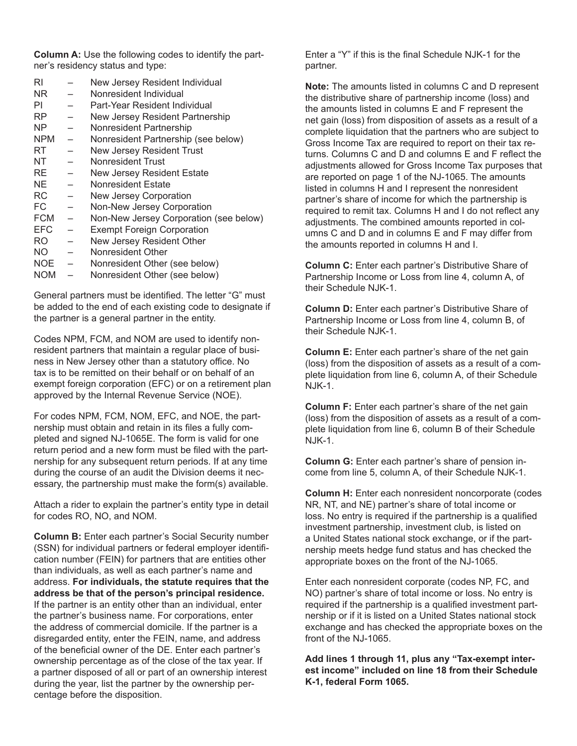**Column A:** Use the following codes to identify the partner's residency status and type:

|                          | New Jersey Resident Individual         |
|--------------------------|----------------------------------------|
|                          | Nonresident Individual                 |
|                          | Part-Year Resident Individual          |
|                          | New Jersey Resident Partnership        |
|                          | Nonresident Partnership                |
| $\overline{a}$           | Nonresident Partnership (see below)    |
|                          | <b>New Jersey Resident Trust</b>       |
|                          | Nonresident Trust                      |
|                          | New Jersey Resident Estate             |
|                          | Nonresident Estate                     |
| $\equiv$                 | New Jersey Corporation                 |
|                          | Non-New Jersey Corporation             |
| $\overline{\phantom{0}}$ | Non-New Jersey Corporation (see below) |
| $\overline{\phantom{0}}$ | <b>Exempt Foreign Corporation</b>      |
| $\overline{\phantom{0}}$ | New Jersey Resident Other              |
| $\equiv$                 | Nonresident Other                      |
| $\equiv$                 | Nonresident Other (see below)          |
|                          | Nonresident Other (see below)          |
|                          |                                        |

General partners must be identified. The letter "G" must be added to the end of each existing code to designate if the partner is a general partner in the entity.

Codes NPM, FCM, and NOM are used to identify nonresident partners that maintain a regular place of business in New Jersey other than a statutory office. No tax is to be remitted on their behalf or on behalf of an exempt foreign corporation (EFC) or on a retirement plan approved by the Internal Revenue Service (NOE).

For codes NPM, FCM, NOM, EFC, and NOE, the partnership must obtain and retain in its files a fully completed and signed NJ-1065E. The form is valid for one return period and a new form must be filed with the partnership for any subsequent return periods. If at any time during the course of an audit the Division deems it necessary, the partnership must make the form(s) available.

Attach a rider to explain the partner's entity type in detail for codes RO, NO, and NOM.

**Column B:** Enter each partner's Social Security number (SSN) for individual partners or federal employer identification number (FEIN) for partners that are entities other than individuals, as well as each partner's name and address. **For individuals, the statute requires that the address be that of the person's principal residence.**  If the partner is an entity other than an individual, enter the partner's business name. For corporations, enter the address of commercial domicile. If the partner is a disregarded entity, enter the FEIN, name, and address of the beneficial owner of the DE. Enter each partner's ownership percentage as of the close of the tax year. If a partner disposed of all or part of an ownership interest during the year, list the partner by the ownership percentage before the disposition.

Enter a "Y" if this is the final Schedule NJK-1 for the partner.

**Note:** The amounts listed in columns C and D represent the distributive share of partnership income (loss) and the amounts listed in columns E and F represent the net gain (loss) from disposition of assets as a result of a complete liquidation that the partners who are subject to Gross Income Tax are required to report on their tax returns. Columns C and D and columns E and F reflect the adjustments allowed for Gross Income Tax purposes that are reported on page 1 of the NJ-1065. The amounts listed in columns H and I represent the nonresident partner's share of income for which the partnership is required to remit tax. Columns H and I do not reflect any adjustments. The combined amounts reported in columns C and D and in columns E and F may differ from the amounts reported in columns H and I.

**Column C:** Enter each partner's Distributive Share of Partnership Income or Loss from line 4, column A, of their Schedule NJK-1.

**Column D:** Enter each partner's Distributive Share of Partnership Income or Loss from line 4, column B, of their Schedule NJK-1.

**Column E:** Enter each partner's share of the net gain (loss) from the disposition of assets as a result of a complete liquidation from line 6, column A, of their Schedule NJK-1.

**Column F:** Enter each partner's share of the net gain (loss) from the disposition of assets as a result of a complete liquidation from line 6, column B of their Schedule NJK-1.

**Column G:** Enter each partner's share of pension income from line 5, column A, of their Schedule NJK-1.

**Column H:** Enter each nonresident noncorporate (codes NR, NT, and NE) partner's share of total income or loss. No entry is required if the partnership is a qualified investment partnership, investment club, is listed on a United States national stock exchange, or if the partnership meets hedge fund status and has checked the appropriate boxes on the front of the NJ-1065.

Enter each nonresident corporate (codes NP, FC, and NO) partner's share of total income or loss. No entry is required if the partnership is a qualified investment partnership or if it is listed on a United States national stock exchange and has checked the appropriate boxes on the front of the NJ-1065.

**Add lines 1 through 11, plus any "Tax-exempt interest income" included on line 18 from their Schedule K-1, federal Form 1065.**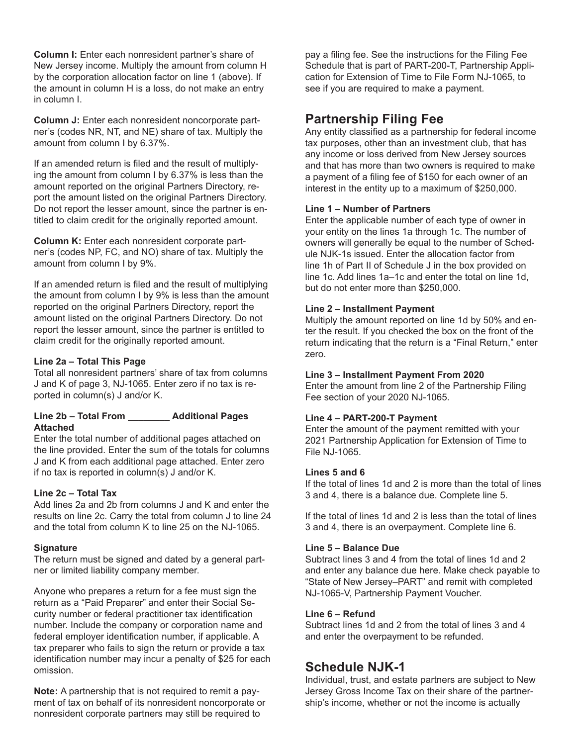**Column I:** Enter each nonresident partner's share of New Jersey income. Multiply the amount from column H by the corporation allocation factor on line 1 (above). If the amount in column H is a loss, do not make an entry in column I.

**Column J:** Enter each nonresident noncorporate partner's (codes NR, NT, and NE) share of tax. Multiply the amount from column I by 6.37%.

If an amended return is filed and the result of multiplying the amount from column I by 6.37% is less than the amount reported on the original Partners Directory, report the amount listed on the original Partners Directory. Do not report the lesser amount, since the partner is entitled to claim credit for the originally reported amount.

**Column K:** Enter each nonresident corporate partner's (codes NP, FC, and NO) share of tax. Multiply the amount from column I by 9%.

If an amended return is filed and the result of multiplying the amount from column I by 9% is less than the amount reported on the original Partners Directory, report the amount listed on the original Partners Directory. Do not report the lesser amount, since the partner is entitled to claim credit for the originally reported amount.

#### **Line 2a – Total This Page**

Total all nonresident partners' share of tax from columns J and K of page 3, NJ-1065. Enter zero if no tax is reported in column(s) J and/or K.

#### **Line 2b – Total From \_\_\_\_\_\_\_\_ Additional Pages Attached**

Enter the total number of additional pages attached on the line provided. Enter the sum of the totals for columns J and K from each additional page attached. Enter zero if no tax is reported in column(s) J and/or K.

#### **Line 2c – Total Tax**

Add lines 2a and 2b from columns J and K and enter the results on line 2c. Carry the total from column J to line 24 and the total from column K to line 25 on the NJ-1065.

#### **Signature**

The return must be signed and dated by a general partner or limited liability company member.

Anyone who prepares a return for a fee must sign the return as a "Paid Preparer" and enter their Social Security number or federal practitioner tax identification number. Include the company or corporation name and federal employer identification number, if applicable. A tax preparer who fails to sign the return or provide a tax identification number may incur a penalty of \$25 for each omission.

**Note:** A partnership that is not required to remit a payment of tax on behalf of its nonresident noncorporate or nonresident corporate partners may still be required to

pay a filing fee. See the instructions for the Filing Fee Schedule that is part of PART-200-T, Partnership Application for Extension of Time to File Form NJ-1065, to see if you are required to make a payment.

## **Partnership Filing Fee**

Any entity classified as a partnership for federal income tax purposes, other than an investment club, that has any income or loss derived from New Jersey sources and that has more than two owners is required to make a payment of a filing fee of \$150 for each owner of an interest in the entity up to a maximum of \$250,000.

#### **Line 1 – Number of Partners**

Enter the applicable number of each type of owner in your entity on the lines 1a through 1c. The number of owners will generally be equal to the number of Schedule NJK-1s issued. Enter the allocation factor from line 1h of Part II of Schedule J in the box provided on line 1c. Add lines 1a–1c and enter the total on line 1d, but do not enter more than \$250,000.

#### **Line 2 – Installment Payment**

Multiply the amount reported on line 1d by 50% and enter the result. If you checked the box on the front of the return indicating that the return is a "Final Return," enter zero.

#### **Line 3 – Installment Payment From 2020**

Enter the amount from line 2 of the Partnership Filing Fee section of your 2020 NJ-1065.

#### **Line 4 – PART-200-T Payment**

Enter the amount of the payment remitted with your 2021 Partnership Application for Extension of Time to File NJ-1065.

#### **Lines 5 and 6**

If the total of lines 1d and 2 is more than the total of lines 3 and 4, there is a balance due. Complete line 5.

If the total of lines 1d and 2 is less than the total of lines 3 and 4, there is an overpayment. Complete line 6.

#### **Line 5 – Balance Due**

Subtract lines 3 and 4 from the total of lines 1d and 2 and enter any balance due here. Make check payable to "State of New Jersey–PART" and remit with completed NJ-1065-V, Partnership Payment Voucher.

#### **Line 6 – Refund**

Subtract lines 1d and 2 from the total of lines 3 and 4 and enter the overpayment to be refunded.

### **Schedule NJK-1**

Individual, trust, and estate partners are subject to New Jersey Gross Income Tax on their share of the partnership's income, whether or not the income is actually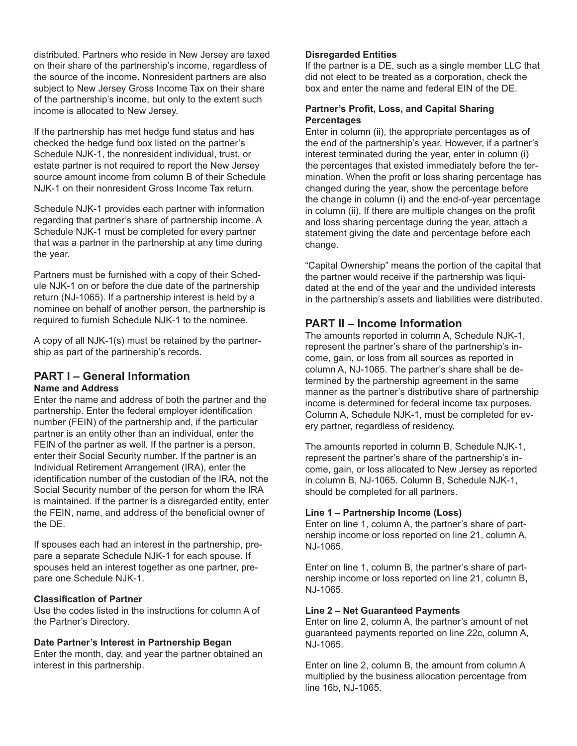distributed. Partners who reside in New Jersey are taxed on their share of the partnership's income, regardless of the source of the income. Nonresident partners are also subject to New Jersey Gross Income Tax on their share of the partnership's income, but only to the extent such income is allocated to New Jersey.

If the partnership has met hedge fund status and has checked the hedge fund box listed on the partner's Schedule NJK-1, the nonresident individual, trust, or estate partner is not required to report the New Jersey source amount income from column B of their Schedule NJK-1 on their nonresident Gross Income Tax return.

Schedule NJK-1 provides each partner with information regarding that partner's share of partnership income. A Schedule NJK-1 must be completed for every partner that was a partner in the partnership at any time during the year.

Partners must be furnished with a copy of their Schedule NJK-1 on or before the due date of the partnership return (NJ-1065). If a partnership interest is held by a nominee on behalf of another person, the partnership is required to furnish Schedule NJK-1 to the nominee.

A copy of all NJK-1(s) must be retained by the partnership as part of the partnership's records.

#### **PART I – General Information Name and Address**

Enter the name and address of both the partner and the partnership. Enter the federal employer identification number (FEIN) of the partnership and, if the particular partner is an entity other than an individual, enter the FEIN of the partner as well. If the partner is a person, enter their Social Security number. If the partner is an Individual Retirement Arrangement (IRA), enter the identification number of the custodian of the IRA, not the Social Security number of the person for whom the IRA is maintained. If the partner is a disregarded entity, enter the FEIN, name, and address of the beneficial owner of the DE.

If spouses each had an interest in the partnership, prepare a separate Schedule NJK-1 for each spouse. If spouses held an interest together as one partner, prepare one Schedule NJK-1.

#### **Classification of Partner**

Use the codes listed in the instructions for column A of the Partner's Directory.

#### **Date Partner's Interest in Partnership Began**

Enter the month, day, and year the partner obtained an interest in this partnership.

#### **Disregarded Entities**

If the partner is a DE, such as a single member LLC that did not elect to be treated as a corporation, check the box and enter the name and federal EIN of the DE.

#### **Partner's Profit, Loss, and Capital Sharing Percentages**

Enter in column (ii), the appropriate percentages as of the end of the partnership's year. However, if a partner's interest terminated during the year, enter in column (i) the percentages that existed immediately before the termination. When the profit or loss sharing percentage has changed during the year, show the percentage before the change in column (i) and the end-of-year percentage in column (ii). If there are multiple changes on the profit and loss sharing percentage during the year, attach a statement giving the date and percentage before each change.

"Capital Ownership" means the portion of the capital that the partner would receive if the partnership was liquidated at the end of the year and the undivided interests in the partnership's assets and liabilities were distributed.

### **PART II – Income Information**

The amounts reported in column A, Schedule NJK-1, represent the partner's share of the partnership's income, gain, or loss from all sources as reported in column A, NJ-1065. The partner's share shall be determined by the partnership agreement in the same manner as the partner's distributive share of partnership income is determined for federal income tax purposes. Column A, Schedule NJK-1, must be completed for every partner, regardless of residency.

The amounts reported in column B, Schedule NJK-1, represent the partner's share of the partnership's income, gain, or loss allocated to New Jersey as reported in column B, NJ-1065. Column B, Schedule NJK-1, should be completed for all partners.

#### **Line 1 – Partnership Income (Loss)**

Enter on line 1, column A, the partner's share of partnership income or loss reported on line 21, column A, NJ-1065.

Enter on line 1, column B, the partner's share of partnership income or loss reported on line 21, column B, NJ-1065.

#### **Line 2 – Net Guaranteed Payments**

Enter on line 2, column A, the partner's amount of net guaranteed payments reported on line 22c, column A, NJ-1065.

Enter on line 2, column B, the amount from column A multiplied by the business allocation percentage from line 16b, NJ-1065.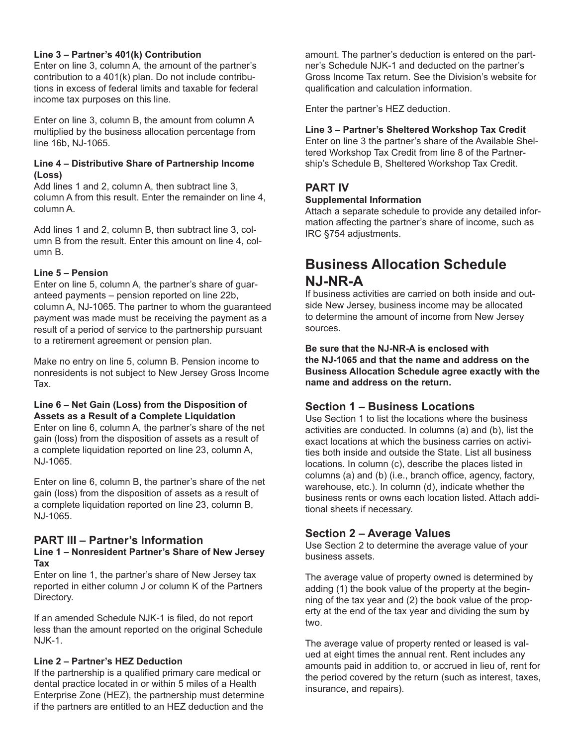#### **Line 3 – Partner's 401(k) Contribution**

Enter on line 3, column A, the amount of the partner's contribution to a 401(k) plan. Do not include contributions in excess of federal limits and taxable for federal income tax purposes on this line.

Enter on line 3, column B, the amount from column A multiplied by the business allocation percentage from line 16b, NJ-1065.

#### **Line 4 – Distributive Share of Partnership Income (Loss)**

Add lines 1 and 2, column A, then subtract line 3, column A from this result. Enter the remainder on line 4, column A.

Add lines 1 and 2, column B, then subtract line 3, column B from the result. Enter this amount on line 4, column B.

#### **Line 5 – Pension**

Enter on line 5, column A, the partner's share of guaranteed payments – pension reported on line 22b, column A, NJ-1065. The partner to whom the guaranteed payment was made must be receiving the payment as a result of a period of service to the partnership pursuant to a retirement agreement or pension plan.

Make no entry on line 5, column B. Pension income to nonresidents is not subject to New Jersey Gross Income Tax.

#### **Line 6 – Net Gain (Loss) from the Disposition of Assets as a Result of a Complete Liquidation**

Enter on line 6, column A, the partner's share of the net gain (loss) from the disposition of assets as a result of a complete liquidation reported on line 23, column A, NJ-1065.

Enter on line 6, column B, the partner's share of the net gain (loss) from the disposition of assets as a result of a complete liquidation reported on line 23, column B, NJ-1065.

### **PART III – Partner's Information**

#### **Line 1 – Nonresident Partner's Share of New Jersey Tax**

Enter on line 1, the partner's share of New Jersey tax reported in either column J or column K of the Partners Directory.

If an amended Schedule NJK-1 is filed, do not report less than the amount reported on the original Schedule NJK-1.

#### **Line 2 – Partner's HEZ Deduction**

If the partnership is a qualified primary care medical or dental practice located in or within 5 miles of a Health Enterprise Zone (HEZ), the partnership must determine if the partners are entitled to an HEZ deduction and the

amount. The partner's deduction is entered on the partner's Schedule NJK-1 and deducted on the partner's Gross Income Tax return. See the Division's website for qualification and calculation information.

Enter the partner's HEZ deduction.

#### **Line 3 – Partner's Sheltered Workshop Tax Credit**

Enter on line 3 the partner's share of the Available Sheltered Workshop Tax Credit from line 8 of the Partnership's Schedule B, Sheltered Workshop Tax Credit.

### **PART IV**

#### **Supplemental Information**

Attach a separate schedule to provide any detailed information affecting the partner's share of income, such as IRC §754 adjustments.

## **Business Allocation Schedule NJ-NR-A**

If business activities are carried on both inside and outside New Jersey, business income may be allocated to determine the amount of income from New Jersey sources.

**Be sure that the NJ-NR-A is enclosed with the NJ-1065 and that the name and address on the Business Allocation Schedule agree exactly with the name and address on the return.**

### **Section 1 – Business Locations**

Use Section 1 to list the locations where the business activities are conducted. In columns (a) and (b), list the exact locations at which the business carries on activities both inside and outside the State. List all business locations. In column (c), describe the places listed in columns (a) and (b) (i.e., branch office, agency, factory, warehouse, etc.). In column (d), indicate whether the business rents or owns each location listed. Attach additional sheets if necessary.

### **Section 2 – Average Values**

Use Section 2 to determine the average value of your business assets.

The average value of property owned is determined by adding (1) the book value of the property at the beginning of the tax year and (2) the book value of the property at the end of the tax year and dividing the sum by two.

The average value of property rented or leased is valued at eight times the annual rent. Rent includes any amounts paid in addition to, or accrued in lieu of, rent for the period covered by the return (such as interest, taxes, insurance, and repairs).